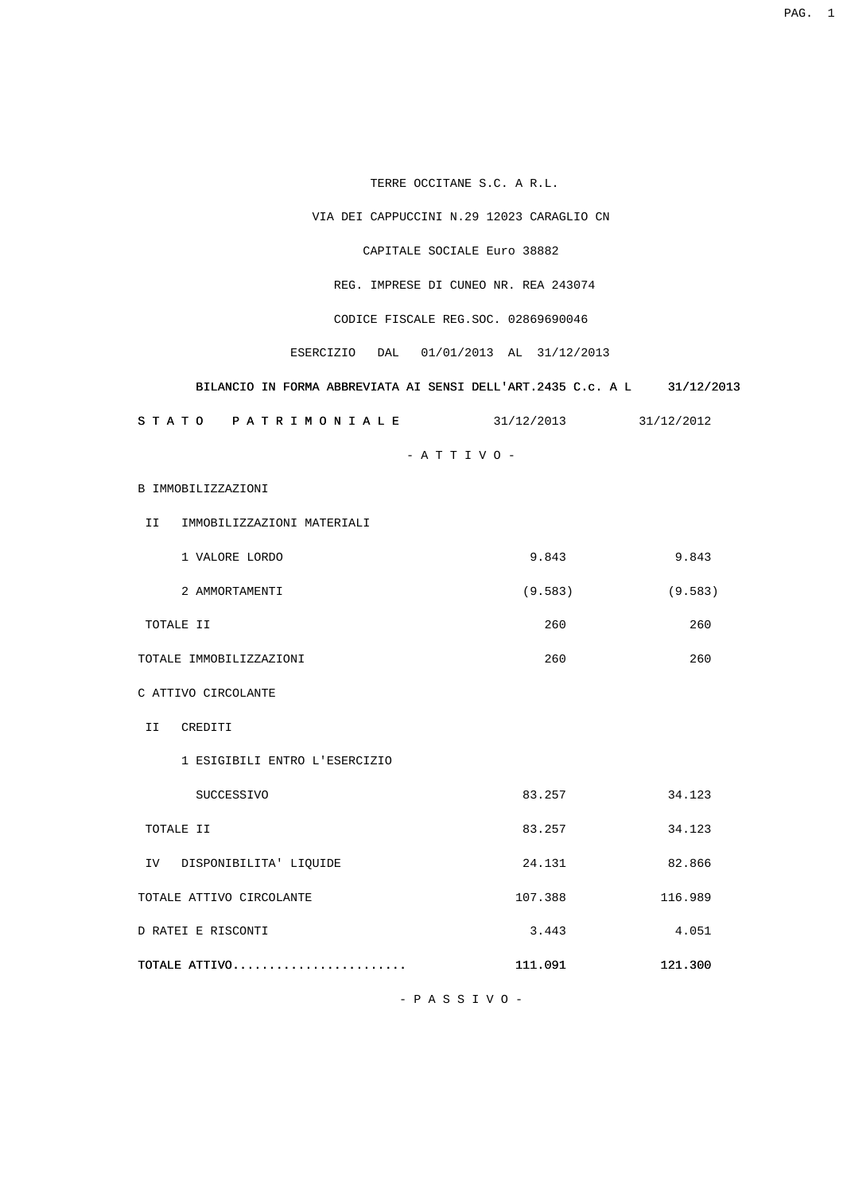TERRE OCCITANE S.C. A R.L.

VIA DEI CAPPUCCINI N.29 12023 CARAGLIO CN

CAPITALE SOCIALE Euro 38882

REG. IMPRESE DI CUNEO NR. REA 243074

CODICE FISCALE REG.SOC. 02869690046

ESERCIZIO DAL 01/01/2013 AL 31/12/2013

## BILANCIO IN FORMA ABBREVIATA AI SENSI DELL'ART.2435 C.c. A L 31/12/2013

| S T A T O | P A T R I M O N I A L E | 31/12/2013<br><u>JII</u> | 31/12/2012 |
|-----------|-------------------------|--------------------------|------------|
|           |                         |                          |            |

- A T T I V O -

B IMMOBILIZZAZIONI

II IMMOBILIZZAZIONI MATERIALI

| VALORE LORDO | 9.843   | 9.843   |
|--------------|---------|---------|
| AMMORTAMENTI | (9.583) | (9.583) |

TOTALE II 260 260

TOTALE IMMOBILIZZAZIONI 260 260

C ATTIVO CIRCOLANTE

II CREDITI

1 ESIGIBILI ENTRO L'ESERCIZIO

| SUCCESSIVO                    | 83.257  | 34.123  |
|-------------------------------|---------|---------|
| TOTALE II                     | 83.257  | 34.123  |
| DISPONIBILITA' LIQUIDE<br>IV. | 24.131  | 82.866  |
| TOTALE ATTIVO CIRCOLANTE      | 107.388 | 116.989 |
| D RATEI E RISCONTI            | 3.443   | 4.051   |
| TOTALE ATTIVO                 | 111.091 | 121.300 |

- P A S S I V O -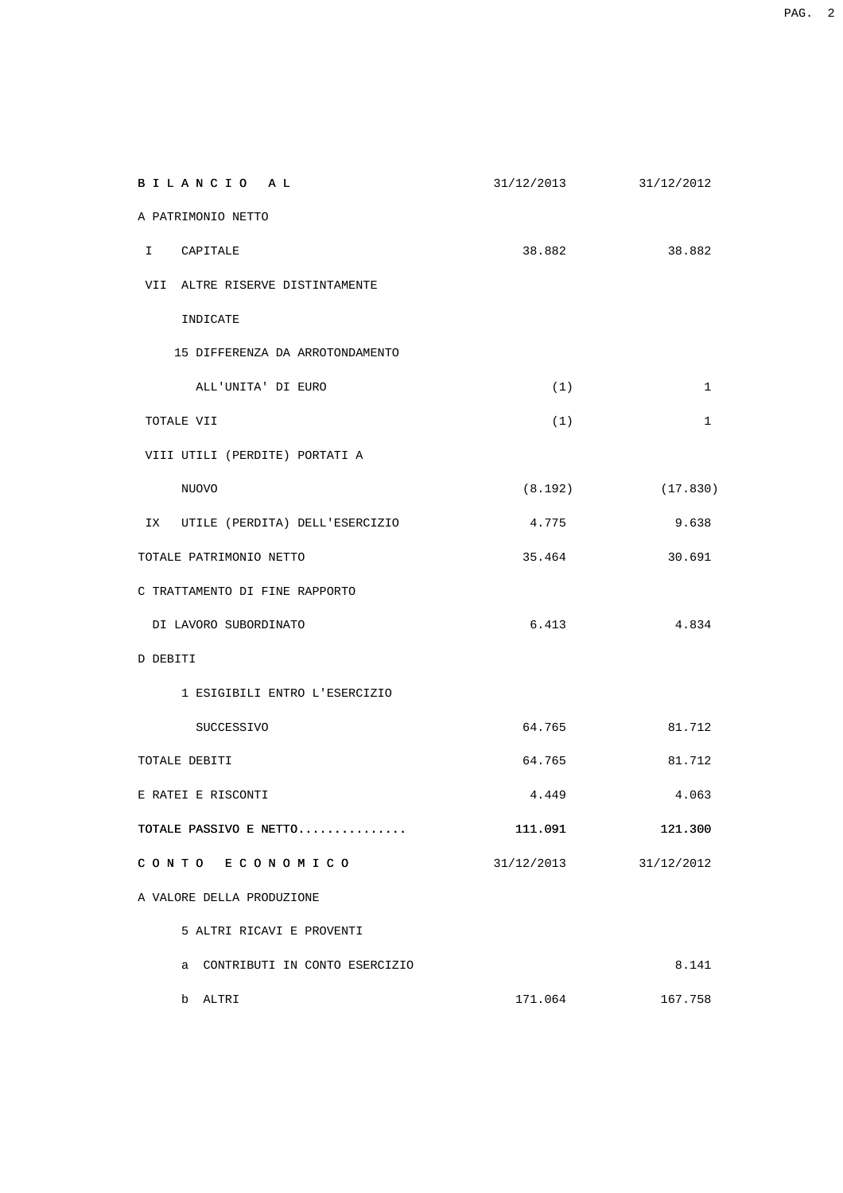| BILANCIO AL                       | 31/12/2013 | 31/12/2012   |
|-----------------------------------|------------|--------------|
| A PATRIMONIO NETTO                |            |              |
| $\mathbf{I}$<br>CAPITALE          | 38.882     | 38.882       |
| VII ALTRE RISERVE DISTINTAMENTE   |            |              |
| INDICATE                          |            |              |
| 15 DIFFERENZA DA ARROTONDAMENTO   |            |              |
| ALL'UNITA' DI EURO                | (1)        | $\mathbf{1}$ |
| TOTALE VII                        | (1)        | $\mathbf{1}$ |
| VIII UTILI (PERDITE) PORTATI A    |            |              |
| NUOVO                             | (8.192)    | (17.830)     |
| IX UTILE (PERDITA) DELL'ESERCIZIO | 4.775      | 9.638        |
| TOTALE PATRIMONIO NETTO           | 35.464     | 30.691       |
| C TRATTAMENTO DI FINE RAPPORTO    |            |              |
| DI LAVORO SUBORDINATO             | 6.413      | 4.834        |
| D DEBITI                          |            |              |
| 1 ESIGIBILI ENTRO L'ESERCIZIO     |            |              |
| SUCCESSIVO                        | 64.765     | 81.712       |
| TOTALE DEBITI                     | 64.765     | 81.712       |
| E RATEI E RISCONTI                | 4.449      | 4.063        |
| TOTALE PASSIVO E NETTO            | 111.091    | 121.300      |
| CONTO ECONOMICO                   | 31/12/2013 | 31/12/2012   |
| A VALORE DELLA PRODUZIONE         |            |              |
| 5 ALTRI RICAVI E PROVENTI         |            |              |
| a CONTRIBUTI IN CONTO ESERCIZIO   |            | 8.141        |
| b ALTRI                           | 171.064    | 167.758      |

example of the state of the state of the state of the state of the state of the state of the state of the state of the state of the state of the state of the state of the state of the state of the state of the state of the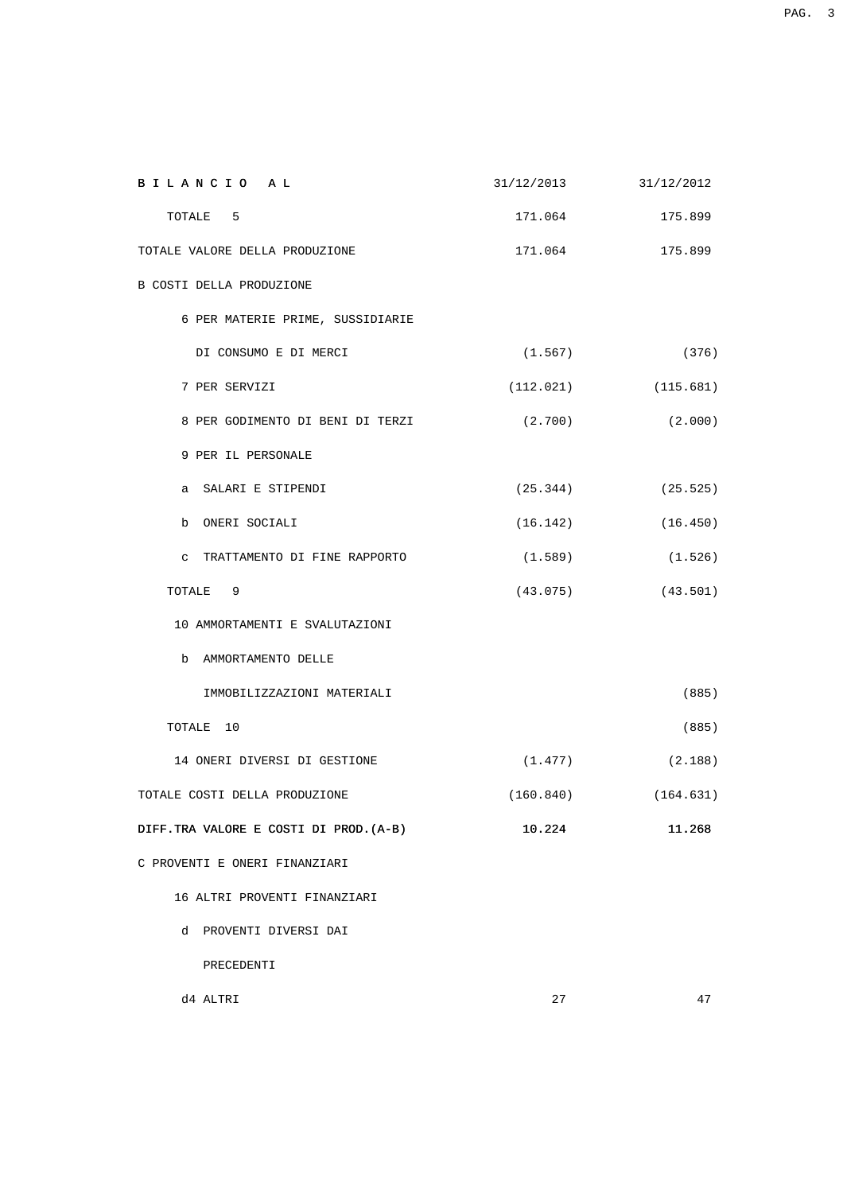| BILANCIO AL                                  | 31/12/2013 | 31/12/2012              |
|----------------------------------------------|------------|-------------------------|
| TOTALE<br>$5^{\circ}$                        | 171.064    | 175.899                 |
| TOTALE VALORE DELLA PRODUZIONE               | 171.064    | 175.899                 |
| B COSTI DELLA PRODUZIONE                     |            |                         |
| 6 PER MATERIE PRIME, SUSSIDIARIE             |            |                         |
| DI CONSUMO E DI MERCI                        | (1.567)    | (376)                   |
| 7 PER SERVIZI                                |            | $(112.021)$ $(115.681)$ |
| 8 PER GODIMENTO DI BENI DI TERZI             | (2.700)    | (2.000)                 |
| 9 PER IL PERSONALE                           |            |                         |
| a SALARI E STIPENDI                          |            | $(25.344)$ $(25.525)$   |
| b ONERI SOCIALI                              |            | $(16.142)$ $(16.450)$   |
| TRATTAMENTO DI FINE RAPPORTO<br>$\mathbf{C}$ | (1.589)    | (1.526)                 |
| TOTALE<br>9                                  |            | $(43.075)$ $(43.501)$   |
| 10 AMMORTAMENTI E SVALUTAZIONI               |            |                         |
| b AMMORTAMENTO DELLE                         |            |                         |
| IMMOBILIZZAZIONI MATERIALI                   |            | (885)                   |
| TOTALE 10                                    |            | (885)                   |
| 14 ONERI DIVERSI DI GESTIONE                 |            | $(1.477)$ $(2.188)$     |
| TOTALE COSTI DELLA PRODUZIONE                |            | $(160.840)$ $(164.631)$ |
| DIFF. TRA VALORE E COSTI DI PROD. (A-B)      | 10.224     | 11.268                  |
| C PROVENTI E ONERI FINANZIARI                |            |                         |
| 16 ALTRI PROVENTI FINANZIARI                 |            |                         |
| d PROVENTI DIVERSI DAI                       |            |                         |
| PRECEDENTI                                   |            |                         |
| d4 ALTRI                                     | 27         | 47                      |

example of the state of the state of the state of the state of the state of the state of the state of the state of the state of the state of the state of the state of the state of the state of the state of the state of the